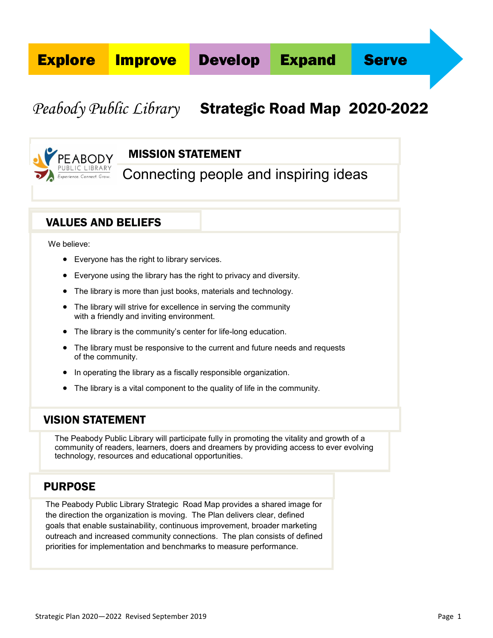# *Peabody Public Library* Strategic Road Map 2020-2022



# MISSION STATEMENT

Connecting people and inspiring ideas

# VALUES AND BELIEFS

We believe:

- Everyone has the right to library services.
- Everyone using the library has the right to privacy and diversity.
- The library is more than just books, materials and technology.
- The library will strive for excellence in serving the community with a friendly and inviting environment.
- The library is the community's center for life-long education.
- The library must be responsive to the current and future needs and requests of the community.
- In operating the library as a fiscally responsible organization.
- The library is a vital component to the quality of life in the community.

# VISION STATEMENT

The Peabody Public Library will participate fully in promoting the vitality and growth of a community of readers, learners, doers and dreamers by providing access to ever evolving technology, resources and educational opportunities.

# PURPOSE

The Peabody Public Library Strategic Road Map provides a shared image for the direction the organization is moving. The Plan delivers clear, defined goals that enable sustainability, continuous improvement, broader marketing outreach and increased community connections. The plan consists of defined priorities for implementation and benchmarks to measure performance.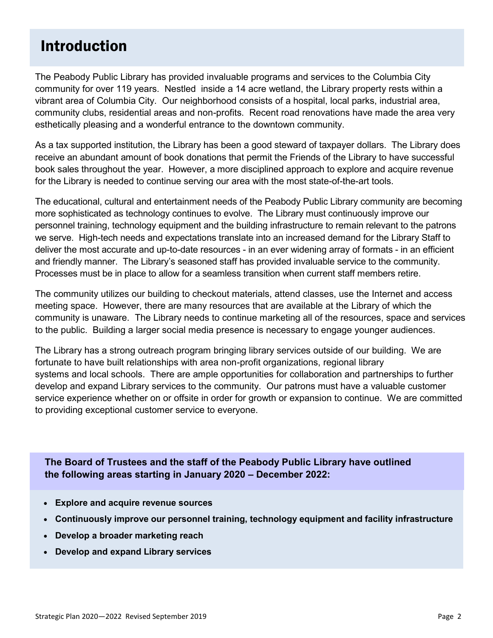# Introduction

The Peabody Public Library has provided invaluable programs and services to the Columbia City community for over 119 years. Nestled inside a 14 acre wetland, the Library property rests within a vibrant area of Columbia City. Our neighborhood consists of a hospital, local parks, industrial area, community clubs, residential areas and non-profits. Recent road renovations have made the area very esthetically pleasing and a wonderful entrance to the downtown community.

As a tax supported institution, the Library has been a good steward of taxpayer dollars. The Library does receive an abundant amount of book donations that permit the Friends of the Library to have successful book sales throughout the year. However, a more disciplined approach to explore and acquire revenue for the Library is needed to continue serving our area with the most state-of-the-art tools.

The educational, cultural and entertainment needs of the Peabody Public Library community are becoming more sophisticated as technology continues to evolve. The Library must continuously improve our personnel training, technology equipment and the building infrastructure to remain relevant to the patrons we serve. High-tech needs and expectations translate into an increased demand for the Library Staff to deliver the most accurate and up-to-date resources - in an ever widening array of formats - in an efficient and friendly manner. The Library's seasoned staff has provided invaluable service to the community. Processes must be in place to allow for a seamless transition when current staff members retire.

The community utilizes our building to checkout materials, attend classes, use the Internet and access meeting space. However, there are many resources that are available at the Library of which the community is unaware. The Library needs to continue marketing all of the resources, space and services to the public. Building a larger social media presence is necessary to engage younger audiences.

The Library has a strong outreach program bringing library services outside of our building. We are fortunate to have built relationships with area non-profit organizations, regional library systems and local schools. There are ample opportunities for collaboration and partnerships to further develop and expand Library services to the community. Our patrons must have a valuable customer service experience whether on or offsite in order for growth or expansion to continue. We are committed to providing exceptional customer service to everyone.

**The Board of Trustees and the staff of the Peabody Public Library have outlined the following areas starting in January 2020 – December 2022:** 

- **Explore and acquire revenue sources**
- **Continuously improve our personnel training, technology equipment and facility infrastructure**
- **Develop a broader marketing reach**
- **Develop and expand Library services**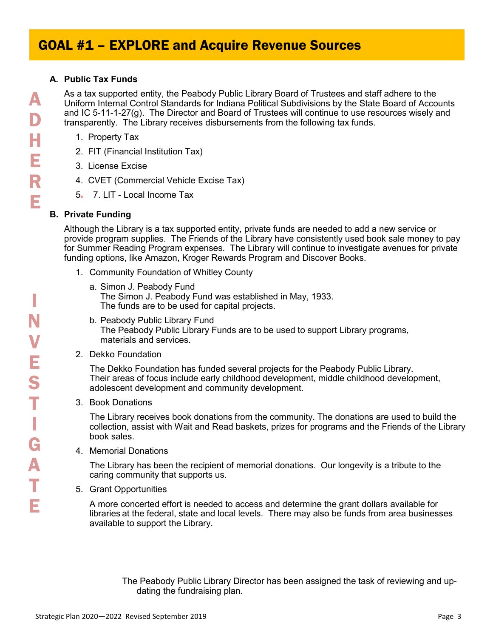### **A. Public Tax Funds**

As a tax supported entity, the Peabody Public Library Board of Trustees and staff adhere to the Uniform Internal Control Standards for Indiana Political Subdivisions by the State Board of Accounts and IC 5-11-1-27(g). The Director and Board of Trustees will continue to use resources wisely and transparently. The Library receives disbursements from the following tax funds.

- 1. Property Tax
- 2. FIT (Financial Institution Tax)
- 3. License Excise
- 4. CVET (Commercial Vehicle Excise Tax)
- 5. 7. LIT Local Income Tax

## **B. Private Funding**

Although the Library is a tax supported entity, private funds are needed to add a new service or provide program supplies. The Friends of the Library have consistently used book sale money to pay for Summer Reading Program expenses. The Library will continue to investigate avenues for private funding options, like Amazon, Kroger Rewards Program and Discover Books.

- 1. Community Foundation of Whitley County
	- a. Simon J. Peabody Fund The Simon J. Peabody Fund was established in May, 1933. The funds are to be used for capital projects.
	- b. Peabody Public Library Fund The Peabody Public Library Funds are to be used to support Library programs, materials and services.
- 2. Dekko Foundation

The Dekko Foundation has funded several projects for the Peabody Public Library. Their areas of focus include early childhood development, middle childhood development, adolescent development and community development.

3. Book Donations

The Library receives book donations from the community. The donations are used to build the collection, assist with Wait and Read baskets, prizes for programs and the Friends of the Library book sales.

4. Memorial Donations

The Library has been the recipient of memorial donations. Our longevity is a tribute to the caring community that supports us.

5. Grant Opportunities

A more concerted effort is needed to access and determine the grant dollars available for libraries at the federal, state and local levels. There may also be funds from area businesses available to support the Library.

The Peabody Public Library Director has been assigned the task of reviewing and updating the fundraising plan.

I

N

V

E

S

T

I

G

A

T

E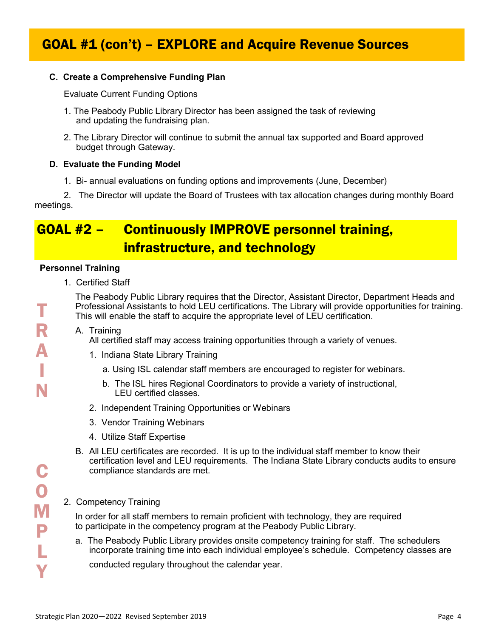# GOAL #1 (con't) – EXPLORE and Acquire Revenue Sources

## **C. Create a Comprehensive Funding Plan**

Evaluate Current Funding Options

- 1. The Peabody Public Library Director has been assigned the task of reviewing and updating the fundraising plan.
- 2. The Library Director will continue to submit the annual tax supported and Board approved budget through Gateway.

### **D. Evaluate the Funding Model**

1. Bi- annual evaluations on funding options and improvements (June, December)

2. The Director will update the Board of Trustees with tax allocation changes during monthly Board meetings.

# GOAL #2 – Continuously IMPROVE personnel training, infrastructure, and technology

### **Personnel Training**

1. Certified Staff

The Peabody Public Library requires that the Director, Assistant Director, Department Heads and Professional Assistants to hold LEU certifications. The Library will provide opportunities for training. This will enable the staff to acquire the appropriate level of LEU certification.

A. Training

All certified staff may access training opportunities through a variety of venues.

- 1. Indiana State Library Training
	- a. Using ISL calendar staff members are encouraged to register for webinars.
	- b. The ISL hires Regional Coordinators to provide a variety of instructional, LEU certified classes.
- 2. Independent Training Opportunities or Webinars
- 3. Vendor Training Webinars
- 4. Utilize Staff Expertise
- B. All LEU certificates are recorded. It is up to the individual staff member to know their certification level and LEU requirements. The Indiana State Library conducts audits to ensure compliance standards are met.

## 2. Competency Training

In order for all staff members to remain proficient with technology, they are required to participate in the competency program at the Peabody Public Library.

a. The Peabody Public Library provides onsite competency training for staff. The schedulers incorporate training time into each individual employee's schedule. Competency classes are

conducted regulary throughout the calendar year.

T

R

 $\Delta$ 

I

N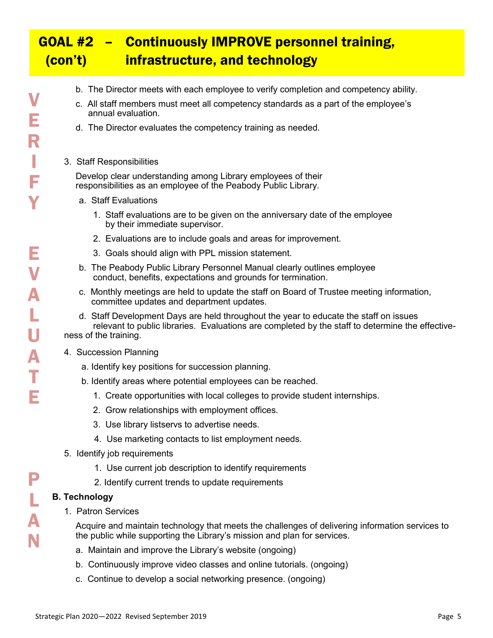# GOAL #2 – Continuously IMPROVE personnel training, (con't) infrastructure, and technology

- b. The Director meets with each employee to verify completion and competency ability.
- c. All staff members must meet all competency standards as a part of the employee's annual evaluation.
- d. The Director evaluates the competency training as needed.
- 3. Staff Responsibilities

Develop clear understanding among Library employees of their responsibilities as an employee of the Peabody Public Library.

- a. Staff Evaluations
	- 1. Staff evaluations are to be given on the anniversary date of the employee by their immediate supervisor.
	- 2. Evaluations are to include goals and areas for improvement.
	- 3. Goals should align with PPL mission statement.
- b. The Peabody Public Library Personnel Manual clearly outlines employee conduct, benefits, expectations and grounds for termination.
- c. Monthly meetings are held to update the staff on Board of Trustee meeting information, committee updates and department updates.
- d. Staff Development Days are held throughout the year to educate the staff on issues relevant to public libraries. Evaluations are completed by the staff to determine the effectiveness of the training.
- 4. Succession Planning
	- a. Identify key positions for succession planning.
	- b. Identify areas where potential employees can be reached.
		- 1. Create opportunities with local colleges to provide student internships.
		- 2. Grow relationships with employment offices.
		- 3. Use library listservs to advertise needs.
		- 4. Use marketing contacts to list employment needs.
- 5. Identify job requirements
	- 1. Use current job description to identify requirements
	- 2. Identify current trends to update requirements

## **B. Technology**

1. Patron Services

Acquire and maintain technology that meets the challenges of delivering information services to the public while supporting the Library's mission and plan for services.

- a. Maintain and improve the Library's website (ongoing)
- b. Continuously improve video classes and online tutorials. (ongoing)
- c. Continue to develop a social networking presence. (ongoing)

P

L

A

N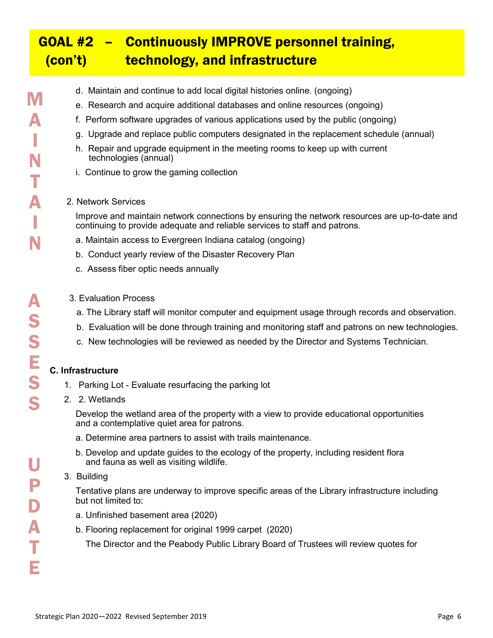# GOAL #2 – Continuously IMPROVE personnel training, (con't) technology, and infrastructure

S

U

P

D

A

T

E

- d. Maintain and continue to add local digital histories online. (ongoing)
- e. Research and acquire additional databases and online resources (ongoing)
- f. Perform software upgrades of various applications used by the public (ongoing)
- g. Upgrade and replace public computers designated in the replacement schedule (annual)
- h. Repair and upgrade equipment in the meeting rooms to keep up with current technologies (annual)
- i. Continue to grow the gaming collection

#### 2. Network Services

Improve and maintain network connections by ensuring the network resources are up-to-date and continuing to provide adequate and reliable services to staff and patrons.

- a. Maintain access to Evergreen Indiana catalog (ongoing)
- b. Conduct yearly review of the Disaster Recovery Plan
- c. Assess fiber optic needs annually
- 3. Evaluation Process
	- a. The Library staff will monitor computer and equipment usage through records and observation.
	- b. Evaluation will be done through training and monitoring staff and patrons on new technologies.
	- c. New technologies will be reviewed as needed by the Director and Systems Technician.

### **C. Infrastructure**

- 1. Parking Lot Evaluate resurfacing the parking lot
- 2. 2. Wetlands

Develop the wetland area of the property with a view to provide educational opportunities and a contemplative quiet area for patrons.

- a. Determine area partners to assist with trails maintenance.
- b. Develop and update guides to the ecology of the property, including resident flora and fauna as well as visiting wildlife.

### 3. Building

 Tentative plans are underway to improve specific areas of the Library infrastructure including but not limited to:

- a. Unfinished basement area (2020)
- b. Flooring replacement for original 1999 carpet (2020)

The Director and the Peabody Public Library Board of Trustees will review quotes for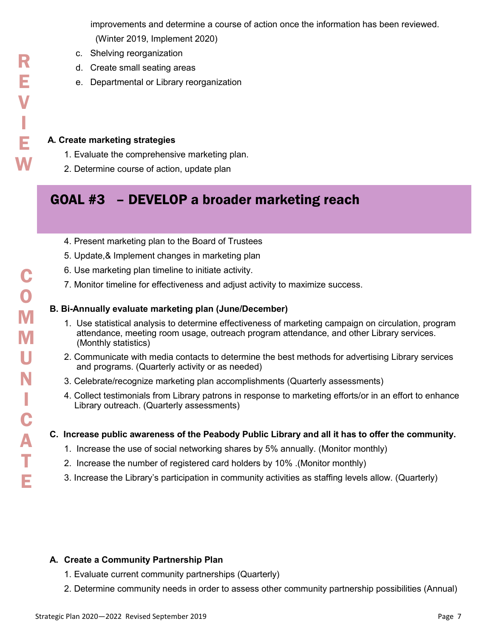improvements and determine a course of action once the information has been reviewed. (Winter 2019, Implement 2020)

- c. Shelving reorganization
- d. Create small seating areas
- e. Departmental or Library reorganization

### **A. Create marketing strategies**

- 1. Evaluate the comprehensive marketing plan.
- 2. Determine course of action, update plan

# GOAL #3 – DEVELOP a broader marketing reach

- 4. Present marketing plan to the Board of Trustees
- 5. Update,& Implement changes in marketing plan
- 6. Use marketing plan timeline to initiate activity.
- 7. Monitor timeline for effectiveness and adjust activity to maximize success.

### **B. Bi-Annually evaluate marketing plan (June/December)**

- 1. Use statistical analysis to determine effectiveness of marketing campaign on circulation, program attendance, meeting room usage, outreach program attendance, and other Library services. (Monthly statistics)
- 2. Communicate with media contacts to determine the best methods for advertising Library services and programs. (Quarterly activity or as needed)
- 3. Celebrate/recognize marketing plan accomplishments (Quarterly assessments)
- 4. Collect testimonials from Library patrons in response to marketing efforts/or in an effort to enhance Library outreach. (Quarterly assessments)

### **C. Increase public awareness of the Peabody Public Library and all it has to offer the community.**

- 1. Increase the use of social networking shares by 5% annually. (Monitor monthly)
- 2. Increase the number of registered card holders by 10% .(Monitor monthly)
- 3. Increase the Library's participation in community activities as staffing levels allow. (Quarterly)

### **A. Create a Community Partnership Plan**

- 1. Evaluate current community partnerships (Quarterly)
- 2. Determine community needs in order to assess other community partnership possibilities (Annual)